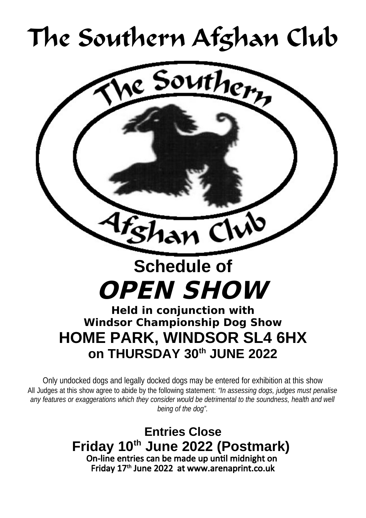# The Southern Afghan Club



Only undocked dogs and legally docked dogs may be entered for exhibition at this show All Judges at this show agree to abide by the following statement: *"In assessing dogs, judges must penalise* any features or exaggerations which they consider would be detrimental to the soundness, health and well *being of the dog".*

> **Entries Close Friday 10th June 2022 (Postmark)**  On-line entries can be made up until midnight on Friday 17th June 2022 at www.arenaprint.co.uk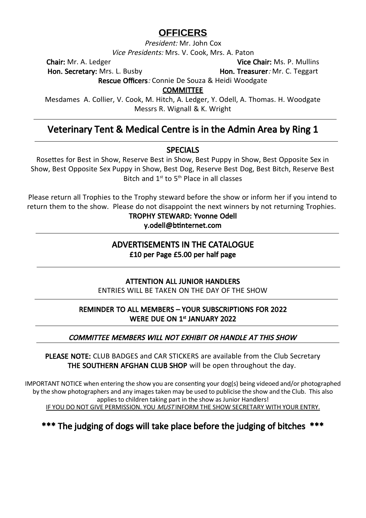### **OFFICERS**

President: Mr. John Cox

Vice Presidents: Mrs. V. Cook, Mrs. A. Paton

Hon. Secretary: Mrs. L. Busby **Hon. Treasurer: Mr. C. Teggart** 

**Chair:** Mr. A. Ledger **Vice Chair: Ms. P. Mullins** 

Rescue Officers: Connie De Souza & Heidi Woodgate

COMMITTEE

Mesdames A. Collier, V. Cook, M. Hitch, A. Ledger, Y. Odell, A. Thomas. H. Woodgate Messrs R. Wignall & K. Wright

### Veterinary Tent & Medical Centre is in the Admin Area by Ring 1

### SPECIALS

Rosettes for Best in Show, Reserve Best in Show, Best Puppy in Show, Best Opposite Sex in Show, Best Opposite Sex Puppy in Show, Best Dog, Reserve Best Dog, Best Bitch, Reserve Best Bitch and 1st to 5th Place in all classes

Please return all Trophies to the Trophy steward before the show or inform her if you intend to return them to the show. Please do not disappoint the next winners by not returning Trophies.

> TROPHY STEWARD: Yvonne Odell y.odell@btinternet.com

### ADVERTISEMENTS IN THE CATALOGUE £10 per Page £5.00 per half page

### ATTENTION ALL JUNIOR HANDLERS

ENTRIES WILL BE TAKEN ON THE DAY OF THE SHOW

### REMINDER TO ALL MEMBERS – YOUR SUBSCRIPTIONS FOR 2022 WERE DUE ON 1<sup>st</sup> JANUARY 2022

### COMMITTEE MEMBERS WILL NOT EXHIBIT OR HANDLE AT THIS SHOW

PLEASE NOTE: CLUB BADGES and CAR STICKERS are available from the Club Secretary THE SOUTHERN AFGHAN CLUB SHOP will be open throughout the day.

IMPORTANT NOTICE when entering the show you are consenting your dog(s) being videoed and/or photographed by the show photographers and any images taken may be used to publicise the show and the Club. This also applies to children taking part in the show as Junior Handlers! IF YOU DO NOT GIVE PERMISSION. YOU MUSTINFORM THE SHOW SECRETARY WITH YOUR ENTRY.

### \*\*\* The judging of dogs will take place before the judging of bitches \*\*\*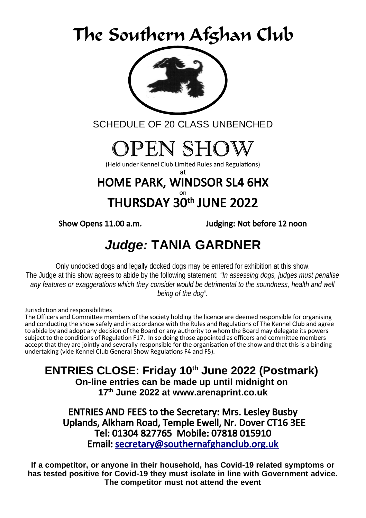# The Southern Afghan Club



SCHEDULE OF 20 CLASS UNBENCHED

# OPEN SHOW

(Held under Kennel Club Limited Rules and Regulations)

### at HOME PARK, WINDSOR SL4 6HX THURSDAY  $\overset{\circ}{30}{}^{\text{th}}$  JUNE 2022

Show Opens 11.00 a.m. Judging: Not before 12 noon

### *Judge:* **TANIA GARDNER**

Only undocked dogs and legally docked dogs may be entered for exhibition at this show. The Judge at this show agrees to abide by the following statement: *"In assessing dogs, judges must penalise* any features or exaggerations which they consider would be detrimental to the soundness, health and well *being of the dog".*

Jurisdiction and responsibilities

The Officers and Committee members of the society holding the licence are deemed responsible for organising and conducting the show safely and in accordance with the Rules and Regulations of The Kennel Club and agree to abide by and adopt any decision of the Board or any authority to whom the Board may delegate its powers subject to the conditions of Regulation F17. In so doing those appointed as officers and committee members accept that they are jointly and severally responsible for the organisation of the show and that this is a binding undertaking (vide Kennel Club General Show Regulations F4 and F5).

**ENTRIES CLOSE: Friday 10th June 2022 (Postmark)** 

**On-line entries can be made up until midnight on 17th June 2022 at www.arenaprint.co.uk**

ENTRIES AND FEES to the Secretary: Mrs. Lesley Busby Uplands, Alkham Road, Temple Ewell, Nr. Dover CT16 3EE Tel: 01304 827765 Mobile: 07818 015910 Email: [secretary@southernafghanclub.org.uk](mailto:secretary@southernafghanclub.org.uk)

**If a competitor, or anyone in their household, has Covid-19 related symptoms or has tested positive for Covid-19 they must isolate in line with Government advice. The competitor must not attend the event**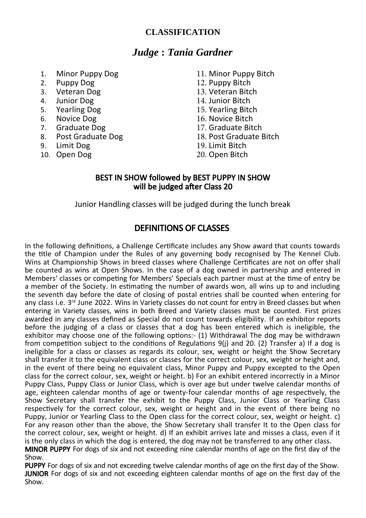### **CLASSIFICATION**

### *Judge* **:** *Tania Gardner*

- 1. Minor Puppy Dog<br>2. Puppy Dog
- 2. Puppy Dog
- 3. Veteran Dog<br>4. Junior Dog
- 4. Junior Dog
- 5. Yearling Dog<br>6. Novice Dog
- 6. Novice Dog
- 7. Graduate Dog
- 8. Post Graduate Dog
- 9. Limit Dog
- 10. Open Dog
- 11. Minor Puppy Bitch
- 12. Puppy Bitch
- 13. Veteran Bitch
- 14. Junior Bitch
- 15. Yearling Bitch
- 16. Novice Bitch
- 17. Graduate Bitch
- 18. Post Graduate Bitch
- 19. Limit Bitch
- 20. Open Bitch

### BEST IN SHOW followed by BEST PUPPY IN SHOW will be judged after Class 20

Junior Handling classes will be judged during the lunch break

### DEFINITIONS OF CLASSES

In the following definitions, a Challenge Certificate includes any Show award that counts towards the title of Champion under the Rules of any governing body recognised by The Kennel Club. Wins at Championship Shows in breed classes where Challenge Certificates are not on offer shall be counted as wins at Open Shows. In the case of a dog owned in partnership and entered in Members' classes or competing for Members' Specials each partner must at the time of entry be a member of the Society. In estimating the number of awards won, all wins up to and including the seventh day before the date of closing of postal entries shall be counted when entering for any class i.e. 3<sup>rd</sup> June 2022. Wins in Variety classes do not count for entry in Breed classes but when entering in Variety classes, wins in both Breed and Variety classes must be counted. First prizes awarded in any classes defined as Special do not count towards eligibility. If an exhibitor reports before the judging of a class or classes that a dog has been entered which is ineligible, the exhibitor may choose one of the following options:- (1) Withdrawal The dog may be withdrawn from competition subject to the conditions of Regulations 9(j) and 20. (2) Transfer a) If a dog is ineligible for a class or classes as regards its colour, sex, weight or height the Show Secretary shall transfer it to the equivalent class or classes for the correct colour, sex, weight or height and, in the event of there being no equivalent class, Minor Puppy and Puppy excepted to the Open class for the correct colour, sex, weight or height. b) For an exhibit entered incorrectly in a Minor Puppy Class, Puppy Class or Junior Class, which is over age but under twelve calendar months of age, eighteen calendar months of age or twenty-four calendar months of age respectively, the Show Secretary shall transfer the exhibit to the Puppy Class, Junior Class or Yearling Class respectively for the correct colour, sex, weight or height and in the event of there being no Puppy, Junior or Yearling Class to the Open class for the correct colour, sex, weight or height. c) For any reason other than the above, the Show Secretary shall transfer It to the Open class for the correct colour, sex, weight or height. d) If an exhibit arrives late and misses a class, even if it is the only class in which the dog is entered, the dog may not be transferred to any other class.

MINOR PUPPY For dogs of six and not exceeding nine calendar months of age on the first day of the Show.

PUPPY For dogs of six and not exceeding twelve calendar months of age on the first day of the Show. JUNIOR For dogs of six and not exceeding eighteen calendar months of age on the first day of the Show.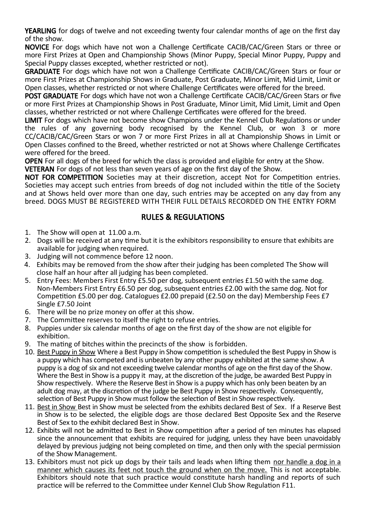YEARLING for dogs of twelve and not exceeding twenty four calendar months of age on the first day of the show.

NOVICE For dogs which have not won a Challenge Certificate CACIB/CAC/Green Stars or three or more First Prizes at Open and Championship Shows (Minor Puppy, Special Minor Puppy, Puppy and Special Puppy classes excepted, whether restricted or not).

GRADUATE For dogs which have not won a Challenge Certificate CACIB/CAC/Green Stars or four or more First Prizes at Championship Shows in Graduate, Post Graduate, Minor Limit, Mid Limit, Limit or Open classes, whether restricted or not where Challenge Certificates were offered for the breed.

POST GRADUATE For dogs which have not won a Challenge Certificate CACIB/CAC/Green Stars or five or more First Prizes at Championship Shows in Post Graduate, Minor Limit, Mid Limit, Limit and Open classes, whether restricted or not where Challenge Certificates were offered for the breed.

LIMIT For dogs which have not become show Champions under the Kennel Club Regulations or under the rules of any governing body recognised by the Kennel Club, or won 3 or more CC/CACIB/CAC/Green Stars or won 7 or more First Prizes in all at Championship Shows in Limit or Open Classes confined to the Breed, whether restricted or not at Shows where Challenge Certificates were offered for the breed.

OPEN For all dogs of the breed for which the class is provided and eligible for entry at the Show.

VETERAN For dogs of not less than seven years of age on the first day of the Show.

NOT FOR COMPETITION Societies may at their discretion, accept Not for Competition entries. Societies may accept such entries from breeds of dog not included within the title of the Society and at Shows held over more than one day, such entries may be accepted on any day from any breed. DOGS MUST BE REGISTERED WITH THEIR FULL DETAILS RECORDED ON THE ENTRY FORM

### RULES & REGULATIONS

- 1. The Show will open at 11.00 a.m.
- 2. Dogs will be received at any time but it is the exhibitors responsibility to ensure that exhibits are available for judging when required.
- 3. Judging will not commence before 12 noon.
- 4. Exhibits may be removed from the show after their judging has been completed The Show will close half an hour after all judging has been completed.
- 5. Entry Fees: Members First Entry £5.50 per dog, subsequent entries £1.50 with the same dog. Non-Members First Entry £6.50 per dog, subsequent entries £2.00 with the same dog. Not for Competition £5.00 per dog. Catalogues £2.00 prepaid (£2.50 on the day) Membership Fees £7 Single £7.50 Joint
- 6. There will be no prize money on offer at this show.
- 7. The Committee reserves to itself the right to refuse entries.
- 8. Puppies under six calendar months of age on the first day of the show are not eligible for exhibition.
- 9. The mating of bitches within the precincts of the show is forbidden.
- 10. Best Puppy in Show Where a Best Puppy in Show competition is scheduled the Best Puppy in Show is a puppy which has competed and is unbeaten by any other puppy exhibited at the same show. A puppy is a dog of six and not exceeding twelve calendar months of age on the first day of the Show. Where the Best in Show is a puppy it may, at the discretion of the judge, be awarded Best Puppy in Show respectively. Where the Reserve Best in Show is a puppy which has only been beaten by an adult dog may, at the discretion of the judge be Best Puppy in Show respectively. Consequently, selection of Best Puppy in Show must follow the selection of Best in Show respectively.
- 11. Best in Show Best in Show must be selected from the exhibits declared Best of Sex. If a Reserve Best in Show is to be selected, the eligible dogs are those declared Best Opposite Sex and the Reserve Best of Sex to the exhibit declared Best in Show.
- 12. Exhibits will not be admitted to Best in Show competition after a period of ten minutes has elapsed since the announcement that exhibits are required for judging, unless they have been unavoidably delayed by previous judging not being completed on time, and then only with the special permission of the Show Management.
- 13. Exhibitors must not pick up dogs by their tails and leads when lifting them nor handle a dog in a manner which causes its feet not touch the ground when on the move. This is not acceptable. Exhibitors should note that such practice would constitute harsh handling and reports of such practice will be referred to the Committee under Kennel Club Show Regulation F11.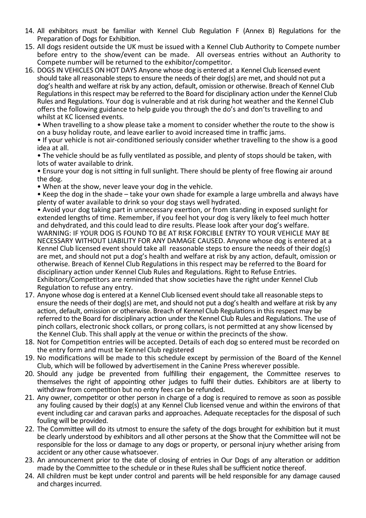- 14. All exhibitors must be familiar with Kennel Club Regulation F (Annex B) Regulations for the Preparation of Dogs for Exhibition.
- 15. All dogs resident outside the UK must be issued with a Kennel Club Authority to Compete number before entry to the show/event can be made. All overseas entries without an Authority to Compete number will be returned to the exhibitor/competitor.
- 16. DOGS IN VEHICLES ON HOT DAYS Anyone whose dog is entered at a Kennel Club licensed event should take all reasonable steps to ensure the needs of their dog(s) are met, and should not put a dog's health and welfare at risk by any action, default, omission or otherwise. Breach of Kennel Club Regulations in this respect may be referred to the Board for disciplinary action under the Kennel Club Rules and Regulations. Your dog is vulnerable and at risk during hot weather and the Kennel Club offers the following guidance to help guide you through the do's and don'ts travelling to and whilst at KC licensed events.

• When travelling to a show please take a moment to consider whether the route to the show is on a busy holiday route, and leave earlier to avoid increased time in traffic jams.

• If your vehicle is not air-conditioned seriously consider whether travelling to the show is a good idea at all.

• The vehicle should be as fully ventilated as possible, and plenty of stops should be taken, with lots of water available to drink.

• Ensure your dog is not sitting in full sunlight. There should be plenty of free flowing air around the dog.

• When at the show, never leave your dog in the vehicle.

• Keep the dog in the shade – take your own shade for example a large umbrella and always have plenty of water available to drink so your dog stays well hydrated.

• Avoid your dog taking part in unnecessary exertion, or from standing in exposed sunlight for extended lengths of time. Remember, if you feel hot your dog is very likely to feel much hotter and dehydrated, and this could lead to dire results. Please look after your dog's welfare. WARNING: IF YOUR DOG IS FOUND TO BE AT RISK FORCIBLE ENTRY TO YOUR VEHICLE MAY BE NECESSARY WITHOUT LIABILITY FOR ANY DAMAGE CAUSED. Anyone whose dog is entered at a Kennel Club licensed event should take all reasonable steps to ensure the needs of their dog(s) are met, and should not put a dog's health and welfare at risk by any action, default, omission or otherwise. Breach of Kennel Club Regulations in this respect may be referred to the Board for disciplinary action under Kennel Club Rules and Regulations. Right to Refuse Entries. Exhibitors/Competitors are reminded that show societies have the right under Kennel Club Regulation to refuse any entry.

- 17. Anyone whose dog is entered at a Kennel Club licensed event should take all reasonable steps to ensure the needs of their dog(s) are met, and should not put a dog's health and welfare at risk by any action, default, omission or otherwise. Breach of Kennel Club Regulations in this respect may be referred to the Board for disciplinary action under the Kennel Club Rules and Regulations. The use of pinch collars, electronic shock collars, or prong collars, is not permitted at any show licensed by the Kennel Club. This shall apply at the venue or within the precincts of the show.
- 18. Not for Competition entries will be accepted. Details of each dog so entered must be recorded on the entry form and must be Kennel Club registered
- 19. No modifications will be made to this schedule except by permission of the Board of the Kennel Club, which will be followed by advertisement in the Canine Press wherever possible.
- 20. Should any judge be prevented from fulfilling their engagement, the Committee reserves to themselves the right of appointing other judges to fulfil their duties. Exhibitors are at liberty to withdraw from competition but no entry fees can be refunded.
- 21. Any owner, competitor or other person in charge of a dog is required to remove as soon as possible any fouling caused by their dog(s) at any Kennel Club licensed venue and within the environs of that event including car and caravan parks and approaches. Adequate receptacles for the disposal of such fouling will be provided.
- 22. The Committee will do its utmost to ensure the safety of the dogs brought for exhibition but it must be clearly understood by exhibitors and all other persons at the Show that the Committee will not be responsible for the loss or damage to any dogs or property, or personal injury whether arising from accident or any other cause whatsoever.
- 23. An announcement prior to the date of closing of entries in Our Dogs of any alteration or addition made by the Committee to the schedule or in these Rules shall be sufficient notice thereof.
- 24. All children must be kept under control and parents will be held responsible for any damage caused and charges incurred.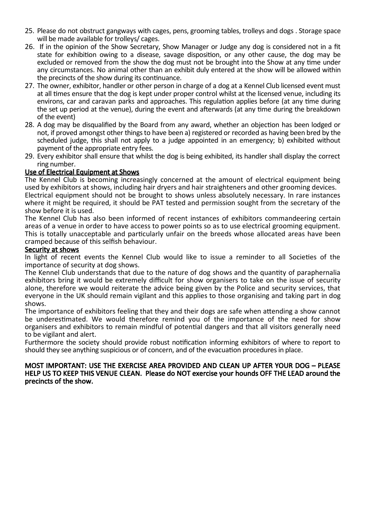- 25. Please do not obstruct gangways with cages, pens, grooming tables, trolleys and dogs . Storage space will be made available for trolleys/ cages.
- 26. If in the opinion of the Show Secretary, Show Manager or Judge any dog is considered not in a fit state for exhibition owing to a disease, savage disposition, or any other cause, the dog may be excluded or removed from the show the dog must not be brought into the Show at any time under any circumstances. No animal other than an exhibit duly entered at the show will be allowed within the precincts of the show during its continuance.
- 27. The owner, exhibitor, handler or other person in charge of a dog at a Kennel Club licensed event must at all times ensure that the dog is kept under proper control whilst at the licensed venue, including its environs, car and caravan parks and approaches. This regulation applies before (at any time during the set up period at the venue), during the event and afterwards (at any time during the breakdown of the event)
- 28. A dog may be disqualified by the Board from any award, whether an objection has been lodged or not, if proved amongst other things to have been a) registered or recorded as having been bred by the scheduled judge, this shall not apply to a judge appointed in an emergency; b) exhibited without payment of the appropriate entry fees.
- 29. Every exhibitor shall ensure that whilst the dog is being exhibited, its handler shall display the correct ring number.

#### Use of Electrical Equipment at Shows

The Kennel Club is becoming increasingly concerned at the amount of electrical equipment being used by exhibitors at shows, including hair dryers and hair straighteners and other grooming devices. Electrical equipment should not be brought to shows unless absolutely necessary. In rare instances where it might be required, it should be PAT tested and permission sought from the secretary of the show before it is used.

The Kennel Club has also been informed of recent instances of exhibitors commandeering certain areas of a venue in order to have access to power points so as to use electrical grooming equipment. This is totally unacceptable and particularly unfair on the breeds whose allocated areas have been cramped because of this selfish behaviour.

#### Security at shows

In light of recent events the Kennel Club would like to issue a reminder to all Societies of the importance of security at dog shows.

The Kennel Club understands that due to the nature of dog shows and the quantity of paraphernalia exhibitors bring it would be extremely difficult for show organisers to take on the issue of security alone, therefore we would reiterate the advice being given by the Police and security services, that everyone in the UK should remain vigilant and this applies to those organising and taking part in dog shows.

The importance of exhibitors feeling that they and their dogs are safe when attending a show cannot be underestimated. We would therefore remind you of the importance of the need for show organisers and exhibitors to remain mindful of potential dangers and that all visitors generally need to be vigilant and alert.

Furthermore the society should provide robust notification informing exhibitors of where to report to should they see anything suspicious or of concern, and of the evacuation procedures in place.

#### MOST IMPORTANT: USE THE EXERCISE AREA PROVIDED AND CLEAN UP AFTER YOUR DOG – PLEASE HELP US TO KEEP THIS VENUE CLEAN. Please do NOT exercise your hounds OFF THE LEAD around the precincts of the show.